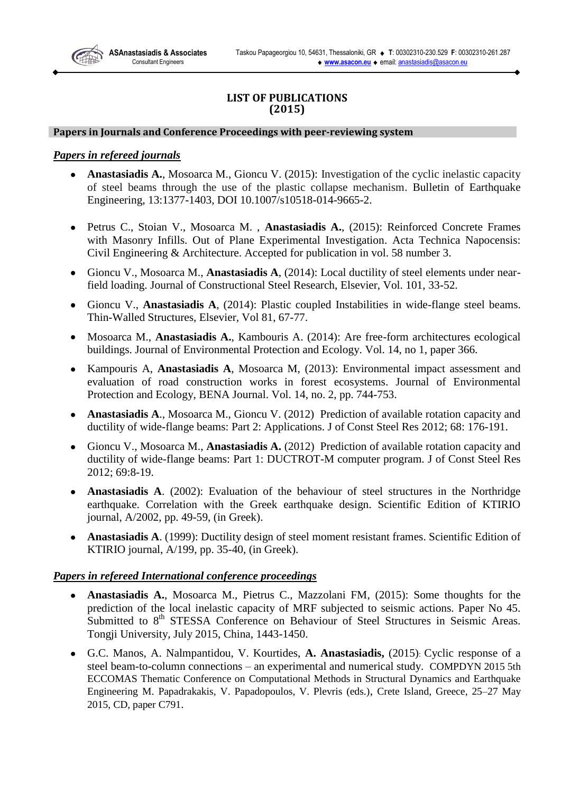**ASAnastasiadis & Associates** Consultant Engineers

# **LIST OF PUBLICATIONS (2015)**

#### **Papers in Journals and Conference Proceedings with peer-reviewing system**

# *Papers in refereed journals*

- **Anastasiadis A.**, Mosoarca M., Gioncu V. (2015): Investigation of the cyclic inelastic capacity  $\bullet$ of steel beams through the use of the plastic collapse mechanism. Bulletin of Earthquake Engineering, 13:1377-1403, DOI 10.1007/s10518-014-9665-2.
- Petrus C., Stoian V., Mosoarca M. , **Anastasiadis A.**, (2015): Reinforced Concrete Frames  $\bullet$ with Masonry Infills. Out of Plane Experimental Investigation. Acta Technica Napocensis: Civil Engineering & Architecture. Accepted for publication in vol. 58 number 3.
- $\bullet$ Gioncu V., Mosoarca M., **Anastasiadis A**, (2014): Local ductility of steel elements under nearfield loading. Journal of Constructional Steel Research, Elsevier, Vol. 101, 33-52.
- Gioncu V., **Anastasiadis A**, (2014): Plastic coupled Instabilities in wide-flange steel beams.  $\bullet$ Thin-Walled Structures, Elsevier, Vol 81, 67-77.
- Mosoarca M., **Anastasiadis A.**, Kambouris A. (2014): Are free-form architectures ecological  $\bullet$ buildings. Journal of Environmental Protection and Ecology. Vol. 14, no 1, paper 366.
- Kampouris A, **Anastasiadis A**, Mosoarca M, (2013): Environmental impact assessment and  $\bullet$ evaluation of road construction works in forest ecosystems. Journal of Environmental Protection and Ecology, BENA Journal. Vol. 14, no. 2, pp. 744-753.
- **Anastasiadis A**., Mosoarca M., Gioncu V. (2012) Prediction of available rotation capacity and  $\bullet$ ductility of wide-flange beams: Part 2: Applications. J of Const Steel Res 2012; 68: 176-191.
- $\bullet$ Gioncu V., Mosoarca M., **Anastasiadis A.** (2012) Prediction of available rotation capacity and ductility of wide-flange beams: Part 1: DUCTROT-M computer program. J of Const Steel Res 2012; 69:8-19.
- **Anastasiadis A**. (2002): Evaluation of the behaviour of steel structures in the Northridge  $\bullet$ earthquake. Correlation with the Greek earthquake design. Scientific Edition of KTIRIO journal, A/2002, pp. 49-59, (in Greek).
- **Anastasiadis A**. (1999): Ductility design of steel moment resistant frames. Scientific Edition of KTIRIO journal, A/199, pp. 35-40, (in Greek).

## *Papers in refereed International conference proceedings*

- $\bullet$ **Anastasiadis A.**, Mosoarca M., Pietrus C., Mazzolani FM, (2015): Some thoughts for the prediction of the local inelastic capacity of MRF subjected to seismic actions. Paper No 45. Submitted to 8<sup>th</sup> STESSA Conference on Behaviour of Steel Structures in Seismic Areas. Tongji University, July 2015, China, 1443-1450.
- G.C. Manos, A. Nalmpantidou, V. Kourtides, **A. Anastasiadis,** (2015): Cyclic response of a  $\bullet$ steel beam-to-column connections – an experimental and numerical study. COMPDYN 2015 5th ECCOMAS Thematic Conference on Computational Methods in Structural Dynamics and Earthquake Engineering M. Papadrakakis, V. Papadopoulos, V. Plevris (eds.), Crete Island, Greece, 25–27 May 2015, CD, paper C791.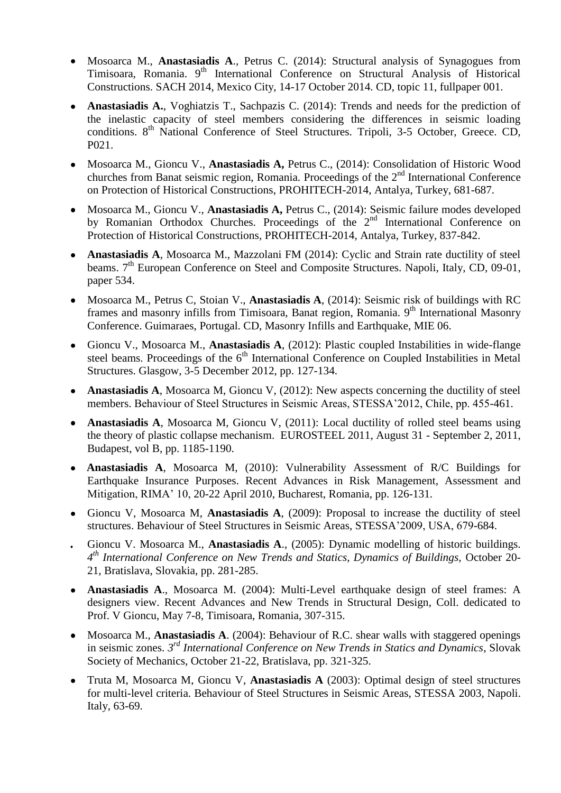- Mosoarca M., **Anastasiadis A**., Petrus C. (2014): Structural analysis of Synagogues from  $\bullet$ Timisoara, Romania. 9<sup>th</sup> International Conference on Structural Analysis of Historical Constructions. SACH 2014, Mexico City, 14-17 October 2014. CD, topic 11, fullpaper 001.
- **Anastasiadis A.**, Voghiatzis T., Sachpazis C. (2014): Trends and needs for the prediction of the inelastic capacity of steel members considering the differences in seismic loading conditions. 8<sup>th</sup> National Conference of Steel Structures. Tripoli, 3-5 October, Greece. CD, P021.
- Mosoarca M., Gioncu V., **Anastasiadis A,** Petrus C., (2014): Consolidation of Historic Wood  $\bullet$ churches from Banat seismic region, Romania. Proceedings of the 2<sup>nd</sup> International Conference on Protection of Historical Constructions, PROHITECH-2014, Antalya, Turkey, 681-687.
- Mosoarca M., Gioncu V., **Anastasiadis A,** Petrus C., (2014): Seismic failure modes developed by Romanian Orthodox Churches. Proceedings of the 2<sup>nd</sup> International Conference on Protection of Historical Constructions, PROHITECH-2014, Antalya, Turkey, 837-842.
- **Anastasiadis A**, Mosoarca M., Mazzolani FM (2014): Cyclic and Strain rate ductility of steel  $\bullet$ beams. 7<sup>th</sup> European Conference on Steel and Composite Structures. Napoli, Italy, CD, 09-01, paper 534.
- Mosoarca M., Petrus C, Stoian V., **Anastasiadis A**, (2014): Seismic risk of buildings with RC  $\bullet$ frames and masonry infills from Timisoara, Banat region, Romania. 9<sup>th</sup> International Masonry Conference. Guimaraes, Portugal. CD, Masonry Infills and Earthquake, MIE 06.
- Gioncu V., Mosoarca M., **Anastasiadis A**, (2012): Plastic coupled Instabilities in wide-flange  $\bullet$ steel beams. Proceedings of the  $6<sup>th</sup>$  International Conference on Coupled Instabilities in Metal Structures. Glasgow, 3-5 December 2012, pp. 127-134.
- **Anastasiadis A**, Mosoarca M, Gioncu V, (2012): New aspects concerning the ductility of steel members. Behaviour of Steel Structures in Seismic Areas, STESSA'2012, Chile, pp. 455-461.
- **Anastasiadis A**, Mosoarca M, Gioncu V, (2011): Local ductility of rolled steel beams using the theory of plastic collapse mechanism. EUROSTEEL 2011, August 31 - September 2, 2011, Budapest, vol B, pp. 1185-1190.
- $\bullet$ **Anastasiadis A**, Mosoarca M, (2010): Vulnerability Assessment of R/C Buildings for Earthquake Insurance Purposes. Recent Advances in Risk Management, Assessment and Mitigation, RIMA' 10, 20-22 April 2010, Bucharest, Romania, pp. 126-131.
- Gioncu V, Mosoarca M, **Anastasiadis A**, (2009): Proposal to increase the ductility of steel  $\bullet$ structures. Behaviour of Steel Structures in Seismic Areas, STESSA'2009, USA, 679-684.
- Gioncu V. Mosoarca M., **Anastasiadis A**., (2005): Dynamic modelling of historic buildings.  $\bullet$ *4 th International Conference on New Trends and Statics, Dynamics of Buildings,* October 20- 21, Bratislava, Slovakia, pp. 281-285.
- **Anastasiadis A**., Mosoarca M. (2004): Multi-Level earthquake design of steel frames: A designers view. Recent Advances and New Trends in Structural Design, Coll. dedicated to Prof. V Gioncu, May 7-8, Timisoara, Romania, 307-315.
- Mosoarca M., **Anastasiadis A**. (2004): Behaviour of R.C. shear walls with staggered openings  $\bullet$ in seismic zones. *3 rd International Conference on New Trends in Statics and Dynamics*, Slovak Society of Mechanics, October 21-22, Bratislava, pp. 321-325.
- Truta M, Mosoarca M, Gioncu V, **Anastasiadis A** (2003): Optimal design of steel structures  $\bullet$ for multi-level criteria. Behaviour of Steel Structures in Seismic Areas, STESSA 2003, Napoli. Italy, 63-69.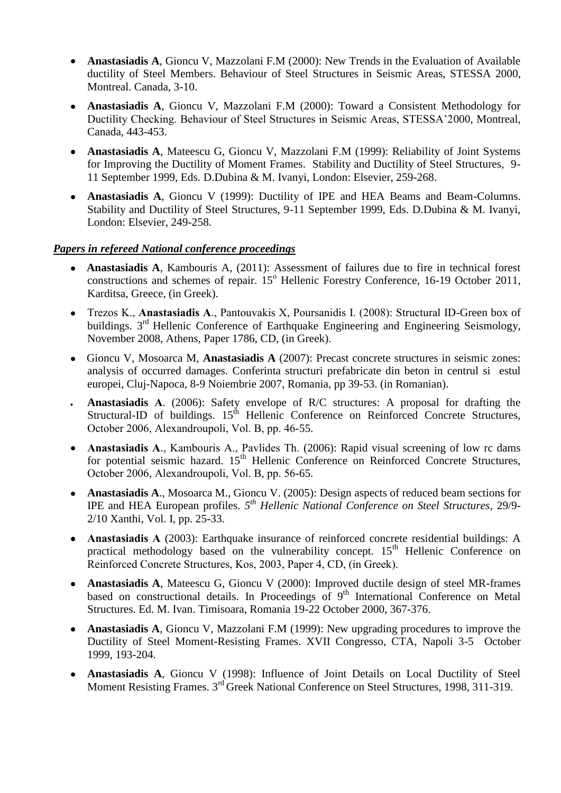- **Anastasiadis A**, Gioncu V, Mazzolani F.M (2000): New Trends in the Evaluation of Available ductility of Steel Members. Behaviour of Steel Structures in Seismic Areas, STESSA 2000, Montreal. Canada, 3-10.
- **Anastasiadis A**, Gioncu V, Mazzolani F.M (2000): Toward a Consistent Methodology for Ductility Checking. Behaviour of Steel Structures in Seismic Areas, STESSA'2000, Montreal, Canada, 443-453.
- **Anastasiadis A**, Mateescu G, Gioncu V, Mazzolani F.M (1999): Reliability of Joint Systems  $\bullet$ for Improving the Ductility of Moment Frames. Stability and Ductility of Steel Structures, 9- 11 September 1999, Eds. D.Dubina & M. Ivanyi, London: Elsevier, 259-268.
- **Anastasiadis A**, Gioncu V (1999): Ductility of IPE and HEA Beams and Beam-Columns. Stability and Ductility of Steel Structures, 9-11 September 1999, Eds. D.Dubina & M. Ivanyi, London: Elsevier, 249-258.

# *Papers in refereed National conference proceedings*

- **Anastasiadis A**, Kambouris A, (2011): Assessment of failures due to fire in technical forest  $\bullet$ constructions and schemes of repair. 15<sup>°</sup> Hellenic Forestry Conference, 16-19 October 2011, Karditsa, Greece, (in Greek).
- Τrezos Κ., **Αnastasiadis Α**., Pantouvakis Χ, Poursanidis Ι. (2008): Structural ID-Green box of  $\bullet$ buildings. 3<sup>rd</sup> Hellenic Conference of Earthquake Engineering and Engineering Seismology, November 2008, Athens, Paper 1786, CD, (in Greek).
- Gioncu V, Mosoarca M, **Anastasiadis A** (2007): Precast concrete structures in seismic zones: analysis of occurred damages. Conferinta structuri prefabricate din beton in centrul si estul europei, Cluj-Napoca, 8-9 Noiembrie 2007, Romania, pp 39-53. (in Romanian).
- **Anastasiadis Α**. (2006): Safety envelope of R/C structures: A proposal for drafting the Structural-ID of buildings.  $15<sup>th</sup>$  Hellenic Conference on Reinforced Concrete Structures, October 2006, Alexandroupoli, Vol. Β, pp. 46-55.
- **Anastasiadis Α**., Kambouris Α., Pavlides Th. (2006): Rapid visual screening of low rc dams for potential seismic hazard. 15<sup>th</sup> Hellenic Conference on Reinforced Concrete Structures, October 2006, Alexandroupoli, Vol. Β, pp. 56-65.
- **Anastasiadis A**., Mosoarca M., Gioncu V. (2005): Design aspects of reduced beam sections for  $\bullet$ IPE and HEA European profiles. *5 th Hellenic National Conference on Steel Structures,* 29/9- 2/10 Xanthi, Vol. I, pp. 25-33.
- **Anastasiadis Α** (2003): Earthquake insurance of reinforced concrete residential buildings: A practical methodology based on the vulnerability concept.  $15<sup>th</sup>$  Hellenic Conference on Reinforced Concrete Structures, Κos, 2003, Paper 4, CD, (in Greek).
- **Anastasiadis A**, Mateescu G, Gioncu V (2000): Improved ductile design of steel MR-frames  $\bullet$ based on constructional details. In Proceedings of  $9<sup>th</sup>$  International Conference on Metal Structures. Ed. M. Ivan. Timisoara, Romania 19-22 October 2000, 367-376.
- **Anastasiadis A**, Gioncu V, Mazzolani F.M (1999): New upgrading procedures to improve the  $\bullet$ Ductility of Steel Moment-Resisting Frames. XVII Congresso, CTA, Napoli 3-5 October 1999, 193-204.
- **Anastasiadis A**, Gioncu V (1998): Influence of Joint Details on Local Ductility of Steel  $\bullet$ Moment Resisting Frames. 3<sup>rd</sup> Greek National Conference on Steel Structures, 1998, 311-319.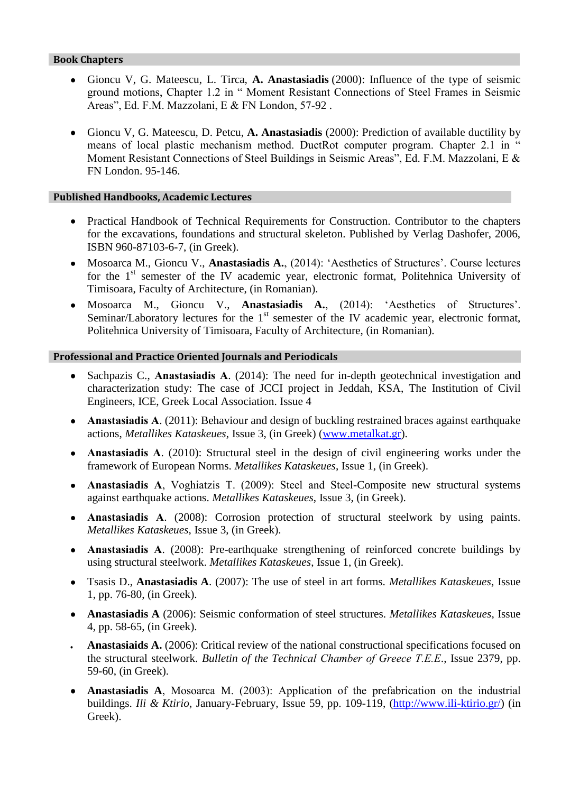## **Book Chapters**

- Gioncu V, G. Mateescu, L. Tirca, **A. Anastasiadis** (2000): Influence of the type of seismic  $\bullet$ ground motions, Chapter 1.2 in " Moment Resistant Connections of Steel Frames in Seismic Areas", Ed. F.M. Mazzolani, E & FN London, 57-92 .
- Gioncu V, G. Mateescu, D. Petcu, **A. Anastasiadis** (2000): Prediction of available ductility by  $\bullet$ means of local plastic mechanism method. DuctRot computer program. Chapter 2.1 in Moment Resistant Connections of Steel Buildings in Seismic Areas", Ed. F.M. Mazzolani, E & FN London. 95-146.

### **Published Handbooks, Academic Lectures**

- Practical Handbook of Technical Requirements for Construction. Contributor to the chapters  $\bullet$ for the excavations, foundations and structural skeleton. Published by Verlag Dashofer, 2006, ISBN 960-87103-6-7, (in Greek).
- Mosoarca M., Gioncu V., **Anastasiadis A.**, (2014): 'Aesthetics of Structures'. Course lectures for the 1<sup>st</sup> semester of the IV academic year, electronic format, Politehnica University of Timisoara, Faculty of Architecture, (in Romanian).
- $\bullet$ Mosoarca M., Gioncu V., **Anastasiadis A.**, (2014): 'Aesthetics of Structures'. Seminar/Laboratory lectures for the  $1<sup>st</sup>$  semester of the IV academic year, electronic format, Politehnica University of Timisoara, Faculty of Architecture, (in Romanian).

### **Professional and Practice Oriented Journals and Periodicals**

- Sachpazis C., **Αnastasiadis Α**. (2014): The need for in-depth geotechnical investigation and  $\bullet$ characterization study: The case of JCCI project in Jeddah, KSA, The Institution of Civil Engineers, ICE, Greek Local Association. Issue 4
- **Αnastasiadis Α**. (2011): Behaviour and design of buckling restrained braces against earthquake  $\bullet$ actions, *Metallikes Kataskeues*, Issue 3, (in Greek) [\(www.metalkat.gr\)](http://www.metalkat.gr/).
- **Anastasiadis Α**. (2010): Structural steel in the design of civil engineering works under the  $\bullet$ framework of European Norms. *Metallikes Kataskeues*, Issue 1, (in Greek).
- **Anastasiadis Α**, Voghiatzis Τ. (2009): Steel and Steel-Composite new structural systems  $\bullet$ against earthquake actions. *Metallikes Kataskeues*, Issue 3, (in Greek).
- **Anastasiadis Α**. (2008): Corrosion protection of structural steelwork by using paints. *Metallikes Kataskeues*, Issue 3, (in Greek).
- **Anastasiadis Α**. (2008): Pre-earthquake strengthening of reinforced concrete buildings by  $\bullet$ using structural steelwork. *Metallikes Kataskeues*, Issue 1, (in Greek).
- Tsasis D., **Anastasiadis A**. (2007): The use of steel in art forms. *Metallikes Kataskeues*, Issue  $\bullet$ 1, pp. 76-80, (in Greek).
- **Anastasiadis A** (2006): Seismic conformation of steel structures. *Metallikes Kataskeues*, Issue  $\bullet$ 4, pp. 58-65, (in Greek).
- **Anastasiaids A.** (2006): Critical review of the national constructional specifications focused on the structural steelwork. *Bulletin of the Technical Chamber of Greece Τ.Ε.Ε*., Issue 2379, pp. 59-60, (in Greek).
- **Anastasiadis A**, Μosoarca M. (2003): Application of the prefabrication on the industrial  $\bullet$ buildings. *Ili & Ktirio*, January-February, Issue 59, pp. 109-119, [\(http://www.ili-ktirio.gr/\)](http://www.ili-ktirio.gr/) (in Greek).